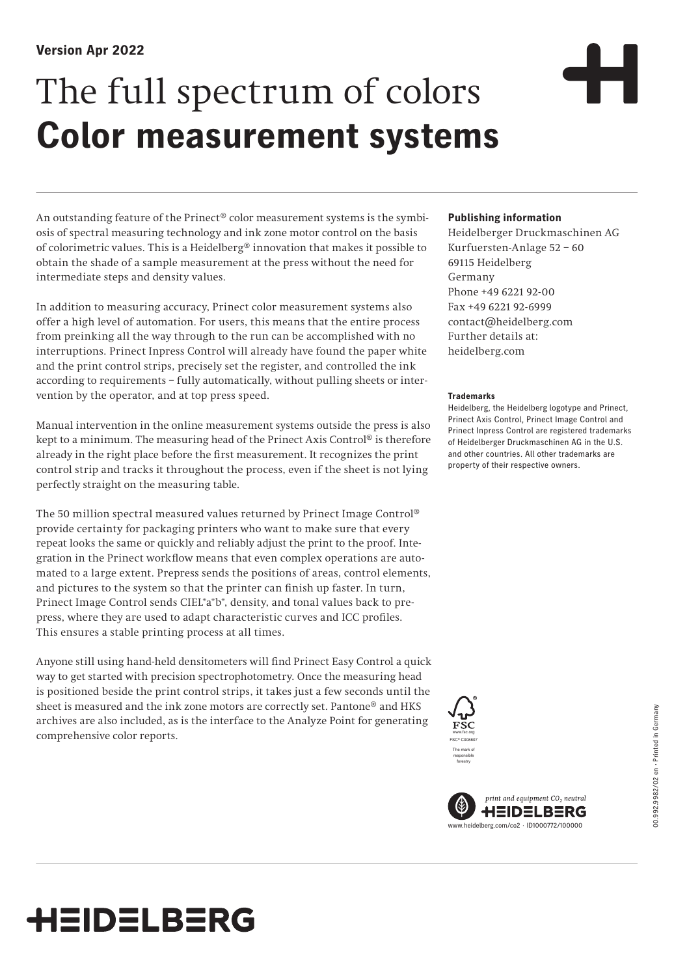## **Version Apr 2022**

# The full spectrum of colors **Color measurement systems**

An outstanding feature of the Prinect<sup>®</sup> color measurement systems is the symbiosis of spectral measuring technology and ink zone motor control on the basis of colorimetric values. This is a Heidelberg® innovation that makes it possible to obtain the shade of a sample measurement at the press without the need for intermediate steps and density values.

In addition to measuring accuracy, Prinect color measurement systems also offer a high level of automation. For users, this means that the entire process from preinking all the way through to the run can be accomplished with no interruptions. Prinect Inpress Control will already have found the paper white and the print control strips, precisely set the register, and controlled the ink according to requirements – fully automatically, without pulling sheets or intervention by the operator, and at top press speed.

Manual intervention in the online measurement systems outside the press is also kept to a minimum. The measuring head of the Prinect Axis Control® is therefore already in the right place before the first measurement. It recognizes the print control strip and tracks it throughout the process, even if the sheet is not lying perfectly straight on the measuring table.

The 50 million spectral measured values returned by Prinect Image Control® provide certainty for packaging printers who want to make sure that every repeat looks the same or quickly and reliably adjust the print to the proof. Integration in the Prinect workflow means that even complex operations are automated to a large extent. Prepress sends the positions of areas, control elements, and pictures to the system so that the printer can finish up faster. In turn, Prinect Image Control sends CIEL\*a\*b\*, density, and tonal values back to prepress, where they are used to adapt characteristic curves and ICC profiles. This ensures a stable printing process at all times.

Anyone still using hand-held densitometers will find Prinect Easy Control a quick way to get started with precision spectrophotometry. Once the measuring head is positioned beside the print control strips, it takes just a few seconds until the sheet is measured and the ink zone motors are correctly set. Pantone® and HKS archives are also included, as is the interface to the Analyze Point for generating comprehensive color reports.

#### **Publishing information**

Heidelberger Druckmaschinen AG Kurfuersten-Anlage 52 – 60 69115 Heidelberg Germany Phone +49 6221 92-00 Fax +49 6221 92-6999 contact@heidelberg.com Further details at: heidelberg.com

#### **Trademarks**

Heidelberg, the Heidelberg logotype and Prinect, Prinect Axis Control, Prinect Image Control and Prinect Inpress Control are registered trademarks of Heidelberger Druckmaschinen AG in the U.S. and other countries. All other trademarks are property of their respective owners.





# **HEIDELBERG**